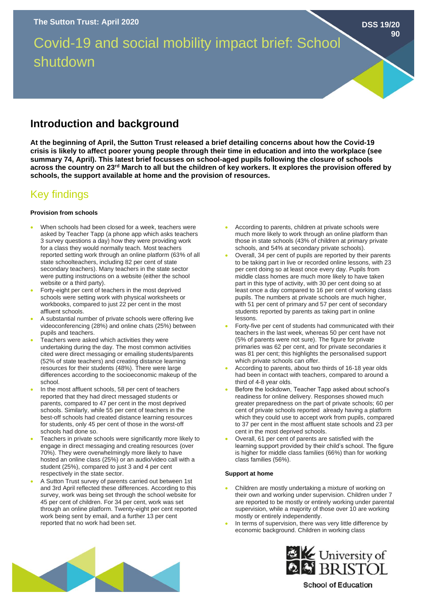Covid-19 and social mobility impact brief: School shutdown

## **Introduction and background**

**At the beginning of April, the Sutton Trust released a brief detailing concerns about how the Covid-19 crisis is likely to affect poorer young people through their time in education and into the workplace (see summary 74, April). This latest brief focusses on school-aged pupils following the closure of schools across the country on 23rd March to all but the children of key workers. It explores the provision offered by schools, the support available at home and the provision of resources.** 

# Key findings

## **Provision from schools**

- When schools had been closed for a week, teachers were asked by Teacher Tapp (a phone app which asks teachers 3 survey questions a day) how they were providing work for a class they would normally teach. Most teachers reported setting work through an online platform (63% of all state schoolteachers, including 82 per cent of state secondary teachers). Many teachers in the state sector were putting instructions on a website (either the school website or a third party).
- Forty-eight per cent of teachers in the most deprived schools were setting work with physical worksheets or workbooks, compared to just 22 per cent in the most affluent schools.
- A substantial number of private schools were offering live videoconferencing (28%) and online chats (25%) between pupils and teachers.
- Teachers were asked which activities they were undertaking during the day. The most common activities cited were direct messaging or emailing students/parents (52% of state teachers) and creating distance learning resources for their students (48%). There were large differences according to the socioeconomic makeup of the school.
- In the most affluent schools, 58 per cent of teachers reported that they had direct messaged students or parents, compared to 47 per cent in the most deprived schools. Similarly, while 55 per cent of teachers in the best-off schools had created distance learning resources for students, only 45 per cent of those in the worst-off schools had done so.
- Teachers in private schools were significantly more likely to engage in direct messaging and creating resources (over 70%). They were overwhelmingly more likely to have hosted an online class (25%) or an audio/video call with a student (25%), compared to just 3 and 4 per cent respectively in the state sector.
- A Sutton Trust survey of parents carried out between 1st and 3rd April reflected these differences. According to this survey, work was being set through the school website for 45 per cent of children. For 34 per cent, work was set through an online platform. Twenty-eight per cent reported work being sent by email, and a further 13 per cent reported that no work had been set.

• According to parents, children at private schools were much more likely to work through an online platform than those in state schools (43% of children at primary private schools, and 54% at secondary private schools).

**DSS 19/20**

**90**

- Overall, 34 per cent of pupils are reported by their parents to be taking part in live or recorded online lessons, with 23 per cent doing so at least once every day. Pupils from middle class homes are much more likely to have taken part in this type of activity, with 30 per cent doing so at least once a day compared to 16 per cent of working class pupils. The numbers at private schools are much higher, with 51 per cent of primary and 57 per cent of secondary students reported by parents as taking part in online lessons.
- Forty-five per cent of students had communicated with their teachers in the last week, whereas 50 per cent have not (5% of parents were not sure). The figure for private primaries was 62 per cent, and for private secondaries it was 81 per cent; this highlights the personalised support which private schools can offer.
- According to parents, about two thirds of 16-18 year olds had been in contact with teachers, compared to around a third of 4-8 year olds.
- Before the lockdown, Teacher Tapp asked about school's readiness for online delivery. Responses showed much greater preparedness on the part of private schools; 60 per cent of private schools reported already having a platform which they could use to accept work from pupils, compared to 37 per cent in the most affluent state schools and 23 per cent in the most deprived schools.
- Overall, 61 per cent of parents are satisfied with the learning support provided by their child's school. The figure is higher for middle class families (66%) than for working class families (56%).

## **Support at home**

- Children are mostly undertaking a mixture of working on their own and working under supervision. Children under 7 are reported to be mostly or entirely working under parental supervision, while a majority of those over 10 are working mostly or entirely independently.
- In terms of supervision, there was very little difference by economic background. Children in working class



**EXAM**<br>**2 BRISTOL** 

## **School of Education**